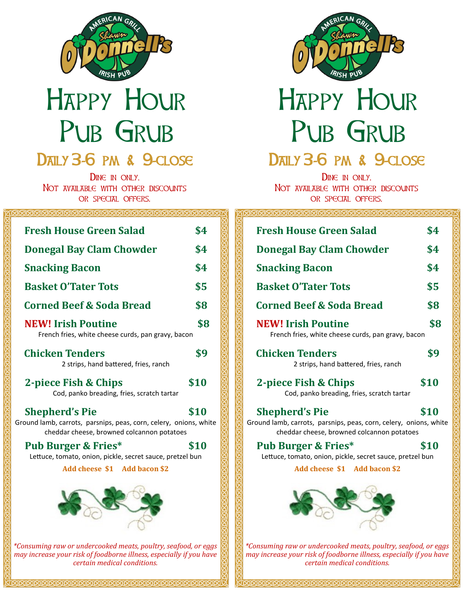

# Happy Hour Pub Grub

**DAILY 3-6 PM & 9-CLOSE** DINE IN ONLY.

Not *AVAILABLE* WITH OTHER DISCOUNTS or special offers.

#### ଗଗଗଗଗଗଗଗଗଗଗଗଗଗଗଗଗଗଗଗଗଗ

| <b>Fresh House Green Salad</b>                                                                                                           | \$4  |
|------------------------------------------------------------------------------------------------------------------------------------------|------|
| <b>Donegal Bay Clam Chowder</b>                                                                                                          | \$4  |
| <b>Snacking Bacon</b>                                                                                                                    | \$4  |
| <b>Basket O'Tater Tots</b>                                                                                                               | \$5  |
| <b>Corned Beef &amp; Soda Bread</b>                                                                                                      | \$8  |
| <b>NEW! Irish Poutine</b><br>French fries, white cheese curds, pan gravy, bacon                                                          | \$8  |
| <b>Chicken Tenders</b><br>2 strips, hand battered, fries, ranch                                                                          | \$9  |
| 2-piece Fish & Chips<br>Cod, panko breading, fries, scratch tartar                                                                       | \$10 |
| <b>Shepherd's Pie</b><br>Ground lamb, carrots, parsnips, peas, corn, celery, onions, white<br>cheddar cheese, browned colcannon potatoes | \$10 |
| <b>Pub Burger &amp; Fries*</b><br>Lettuce, tomato, onion, pickle, secret sauce, pretzel bun<br>Add cheese \$1 Add bacon \$2              | \$10 |
| *Consuming raw or undercooked meats, poultry, seafood, or eggs                                                                           |      |
| may increase your risk of foodborne illness, especially if you have                                                                      |      |

*certain medical conditions.*

ট্



# Happy Hour Pub Grub **DAILY 3-6 PM & 9-CLOSE**

#### DINE IN ONLY. NOT AVAILABLE WITH OTHER DISCOUNTS

or special offers.

ଗଗଗଗଗଗଗଗଗଗଗଗଗଗଗଗଗଗଗ

| <b>Fresh House Green Salad</b>                                                                                                           | \$4  |
|------------------------------------------------------------------------------------------------------------------------------------------|------|
| <b>Donegal Bay Clam Chowder</b>                                                                                                          | \$4  |
| <b>Snacking Bacon</b>                                                                                                                    | \$4  |
| <b>Basket O'Tater Tots</b>                                                                                                               | \$5  |
| <b>Corned Beef &amp; Soda Bread</b>                                                                                                      | \$8  |
| \$8<br><b>NEW! Irish Poutine</b><br>French fries, white cheese curds, pan gravy, bacon                                                   |      |
| <b>Chicken Tenders</b><br>2 strips, hand battered, fries, ranch                                                                          | \$9  |
| 2-piece Fish & Chips<br>Cod, panko breading, fries, scratch tartar                                                                       | \$10 |
| <b>Shepherd's Pie</b><br>Ground lamb, carrots, parsnips, peas, corn, celery, onions, white<br>cheddar cheese, browned colcannon potatoes | \$10 |
| <b>Pub Burger &amp; Fries*</b><br>Lettuce, tomato, onion, pickle, secret sauce, pretzel bun<br>Add cheese \$1 Add bacon \$2              | \$10 |
|                                                                                                                                          |      |
| *Consuming raw or undercooked meats, poultry, seafood, or eggs                                                                           |      |

反反反反反

*may increase your risk of foodborne illness, especially if you have certain medical conditions.*